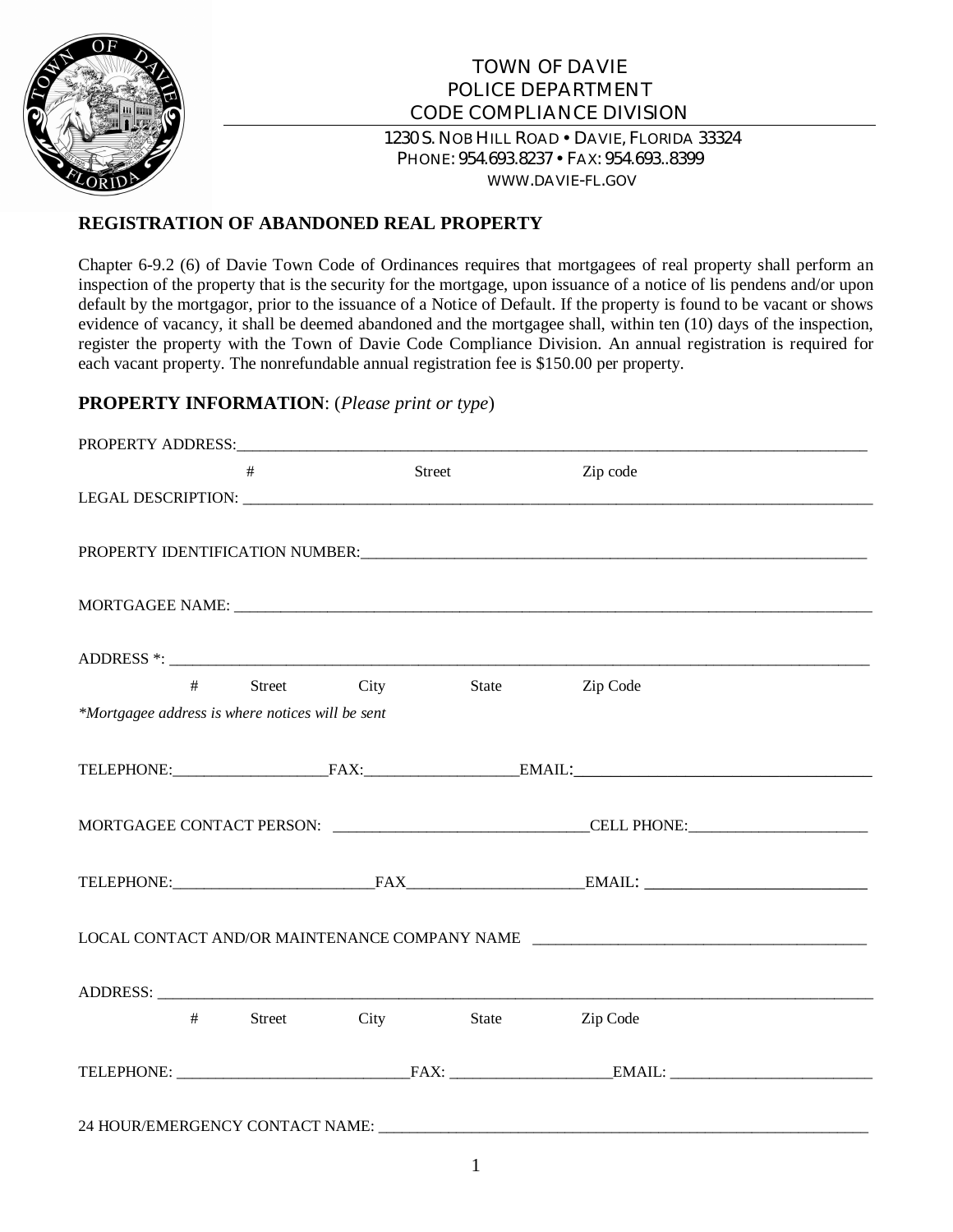

# TOWN OF DAVIE POLICE DEPARTMENT CODE COMPLIANCE DIVISION 1230 S. NOB HILL ROAD . DAVIE, FLORIDA 33324 PHONE: 954.693.8237 FAX: 954.693..8399

WWW.DAVIE-FL.GOV

## **REGISTRATION OF ABANDONED REAL PROPERTY**

Chapter 6-9.2 (6) of Davie Town Code of Ordinances requires that mortgagees of real property shall perform an inspection of the property that is the security for the mortgage, upon issuance of a notice of lis pendens and/or upon default by the mortgagor, prior to the issuance of a Notice of Default. If the property is found to be vacant or shows evidence of vacancy, it shall be deemed abandoned and the mortgagee shall, within ten (10) days of the inspection, register the property with the Town of Davie Code Compliance Division. An annual registration is required for each vacant property. The nonrefundable annual registration fee is \$150.00 per property.

### **PROPERTY INFORMATION**: (*Please print or type*)

|                                                  | # |               | Street | Zip code                                                                                             |  |  |  |
|--------------------------------------------------|---|---------------|--------|------------------------------------------------------------------------------------------------------|--|--|--|
|                                                  |   |               |        |                                                                                                      |  |  |  |
|                                                  |   |               |        |                                                                                                      |  |  |  |
|                                                  |   |               |        |                                                                                                      |  |  |  |
|                                                  |   |               |        |                                                                                                      |  |  |  |
|                                                  |   | # Street City | State  | Zip Code                                                                                             |  |  |  |
| *Mortgagee address is where notices will be sent |   |               |        |                                                                                                      |  |  |  |
|                                                  |   |               |        |                                                                                                      |  |  |  |
|                                                  |   |               |        |                                                                                                      |  |  |  |
|                                                  |   |               |        | MORTGAGEE CONTACT PERSON: __________________________________CELL PHONE:_____________________________ |  |  |  |
|                                                  |   |               |        |                                                                                                      |  |  |  |
| LOCAL CONTACT AND/OR MAINTENANCE COMPANY NAME    |   |               |        |                                                                                                      |  |  |  |
| ADDRESS:                                         |   |               |        |                                                                                                      |  |  |  |
| #                                                |   | Street City   | State  | Zip Code                                                                                             |  |  |  |
|                                                  |   |               |        | TELEPHONE: FAX: EMAIL:                                                                               |  |  |  |
|                                                  |   |               |        |                                                                                                      |  |  |  |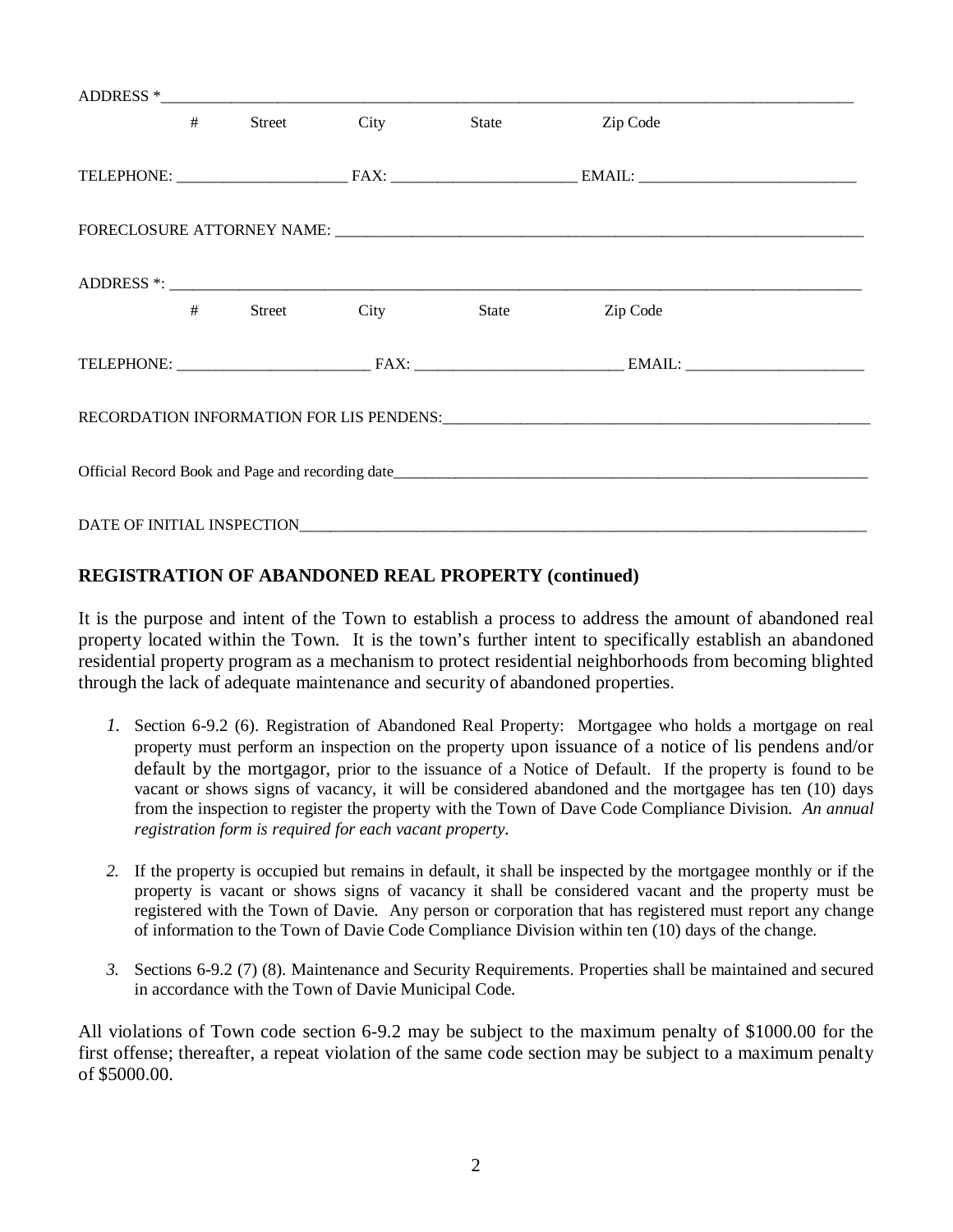|  | # |  | Street City | State | Zip Code |  |  |
|--|---|--|-------------|-------|----------|--|--|
|  |   |  |             |       |          |  |  |
|  |   |  |             |       |          |  |  |
|  |   |  |             |       |          |  |  |
|  | # |  | Street City | State | Zip Code |  |  |
|  |   |  |             |       |          |  |  |
|  |   |  |             |       |          |  |  |
|  |   |  |             |       |          |  |  |
|  |   |  |             |       |          |  |  |

### **REGISTRATION OF ABANDONED REAL PROPERTY (continued)**

It is the purpose and intent of the Town to establish a process to address the amount of abandoned real property located within the Town. It is the town's further intent to specifically establish an abandoned residential property program as a mechanism to protect residential neighborhoods from becoming blighted through the lack of adequate maintenance and security of abandoned properties.

- *1.* Section 6-9.2 (6). Registration of Abandoned Real Property: Mortgagee who holds a mortgage on real property must perform an inspection on the property upon issuance of a notice of lis pendens and/or default by the mortgagor, prior to the issuance of a Notice of Default. If the property is found to be vacant or shows signs of vacancy, it will be considered abandoned and the mortgagee has ten (10) days from the inspection to register the property with the Town of Dave Code Compliance Division. *An annual registration form is required for each vacant property.*
- *2.* If the property is occupied but remains in default, it shall be inspected by the mortgagee monthly or if the property is vacant or shows signs of vacancy it shall be considered vacant and the property must be registered with the Town of Davie. Any person or corporation that has registered must report any change of information to the Town of Davie Code Compliance Division within ten (10) days of the change.
- *3.* Sections 6-9.2 (7) (8). Maintenance and Security Requirements. Properties shall be maintained and secured in accordance with the Town of Davie Municipal Code.

All violations of Town code section 6-9.2 may be subject to the maximum penalty of \$1000.00 for the first offense; thereafter, a repeat violation of the same code section may be subject to a maximum penalty of \$5000.00.